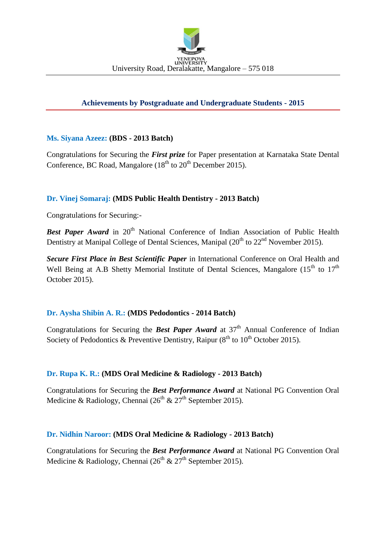

## **Achievements by Postgraduate and Undergraduate Students - 2015**

### **Ms. Siyana Azeez: (BDS - 2013 Batch)**

Congratulations for Securing the *First prize* for Paper presentation at Karnataka State Dental Conference, BC Road, Mangalore  $(18<sup>th</sup>$  to  $20<sup>th</sup>$  December 2015).

### **Dr. Vinej Somaraj: (MDS Public Health Dentistry - 2013 Batch)**

Congratulations for Securing:-

**Best Paper Award** in 20<sup>th</sup> National Conference of Indian Association of Public Health Dentistry at Manipal College of Dental Sciences, Manipal  $(20<sup>th</sup>$  to  $22<sup>nd</sup>$  November 2015).

*Secure First Place in Best Scientific Paper* in International Conference on Oral Health and Well Being at A.B Shetty Memorial Institute of Dental Sciences, Mangalore  $(15<sup>th</sup>$  to  $17<sup>th</sup>$ October 2015).

### **Dr. Aysha Shibin A. R.: (MDS Pedodontics - 2014 Batch)**

Congratulations for Securing the *Best Paper Award* at 37<sup>th</sup> Annual Conference of Indian Society of Pedodontics & Preventive Dentistry, Raipur  $(8<sup>th</sup>$  to  $10<sup>th</sup>$  October 2015).

### **Dr. Rupa K. R.: (MDS Oral Medicine & Radiology - 2013 Batch)**

Congratulations for Securing the *Best Performance Award* at National PG Convention Oral Medicine & Radiology, Chennai ( $26<sup>th</sup>$  &  $27<sup>th</sup>$  September 2015).

#### **Dr. Nidhin Naroor: (MDS Oral Medicine & Radiology - 2013 Batch)**

Congratulations for Securing the *Best Performance Award* at National PG Convention Oral Medicine & Radiology, Chennai ( $26<sup>th</sup>$  &  $27<sup>th</sup>$  September 2015).